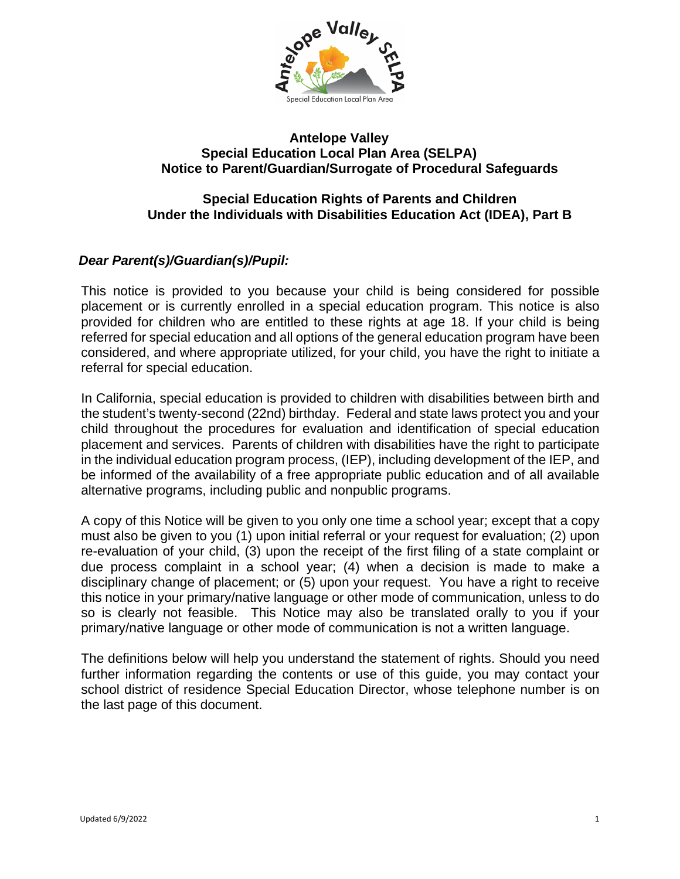

#### **Antelope Valley Special Education Local Plan Area (SELPA) Notice to Parent/Guardian/Surrogate of Procedural Safeguards**

# **Special Education Rights of Parents and Children Under the Individuals with Disabilities Education Act (IDEA), Part B**

# *Dear Parent(s)/Guardian(s)/Pupil:*

This notice is provided to you because your child is being considered for possible placement or is currently enrolled in a special education program. This notice is also provided for children who are entitled to these rights at age 18. If your child is being referred for special education and all options of the general education program have been considered, and where appropriate utilized, for your child, you have the right to initiate a referral for special education.

In California, special education is provided to children with disabilities between birth and the student's twenty-second (22nd) birthday. Federal and state laws protect you and your child throughout the procedures for evaluation and identification of special education placement and services. Parents of children with disabilities have the right to participate in the individual education program process, (IEP), including development of the IEP, and be informed of the availability of a free appropriate public education and of all available alternative programs, including public and nonpublic programs.

A copy of this Notice will be given to you only one time a school year; except that a copy must also be given to you (1) upon initial referral or your request for evaluation; (2) upon re-evaluation of your child, (3) upon the receipt of the first filing of a state complaint or due process complaint in a school year; (4) when a decision is made to make a disciplinary change of placement; or (5) upon your request. You have a right to receive this notice in your primary/native language or other mode of communication, unless to do so is clearly not feasible. This Notice may also be translated orally to you if your primary/native language or other mode of communication is not a written language.

The definitions below will help you understand the statement of rights. Should you need further information regarding the contents or use of this guide, you may contact your school district of residence Special Education Director, whose telephone number is on the last page of this document.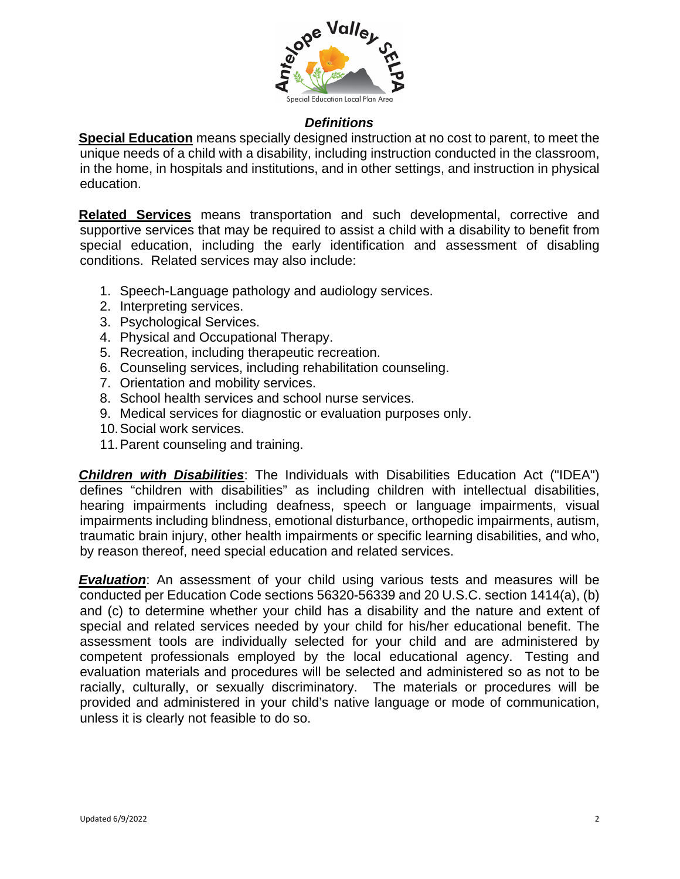

#### *Definitions*

**Special Education** means specially designed instruction at no cost to parent, to meet the unique needs of a child with a disability, including instruction conducted in the classroom, in the home, in hospitals and institutions, and in other settings, and instruction in physical education.

**Related Services** means transportation and such developmental, corrective and supportive services that may be required to assist a child with a disability to benefit from special education, including the early identification and assessment of disabling conditions. Related services may also include:

- 1. Speech-Language pathology and audiology services.
- 2. Interpreting services.
- 3. Psychological Services.
- 4. Physical and Occupational Therapy.
- 5. Recreation, including therapeutic recreation.
- 6. Counseling services, including rehabilitation counseling.
- 7. Orientation and mobility services.
- 8. School health services and school nurse services.
- 9. Medical services for diagnostic or evaluation purposes only.
- 10.Social work services.
- 11.Parent counseling and training.

*Children with Disabilities*: The Individuals with Disabilities Education Act ("IDEA") defines "children with disabilities" as including children with intellectual disabilities, hearing impairments including deafness, speech or language impairments, visual impairments including blindness, emotional disturbance, orthopedic impairments, autism, traumatic brain injury, other health impairments or specific learning disabilities, and who, by reason thereof, need special education and related services.

**Evaluation:** An assessment of your child using various tests and measures will be conducted per Education Code sections 56320-56339 and 20 U.S.C. section 1414(a), (b) and (c) to determine whether your child has a disability and the nature and extent of special and related services needed by your child for his/her educational benefit. The assessment tools are individually selected for your child and are administered by competent professionals employed by the local educational agency. Testing and evaluation materials and procedures will be selected and administered so as not to be racially, culturally, or sexually discriminatory. The materials or procedures will be provided and administered in your child's native language or mode of communication, unless it is clearly not feasible to do so.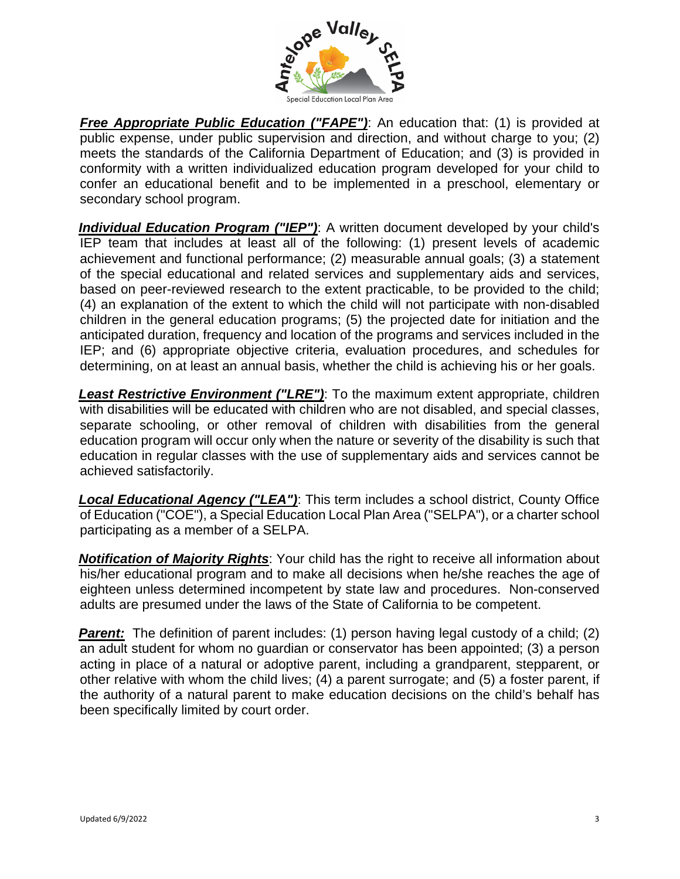

**Free Appropriate Public Education ("FAPE")**: An education that: (1) is provided at public expense, under public supervision and direction, and without charge to you; (2) meets the standards of the California Department of Education; and (3) is provided in conformity with a written individualized education program developed for your child to confer an educational benefit and to be implemented in a preschool, elementary or secondary school program.

**Individual Education Program ("IEP")**: A written document developed by your child's IEP team that includes at least all of the following: (1) present levels of academic achievement and functional performance; (2) measurable annual goals; (3) a statement of the special educational and related services and supplementary aids and services, based on peer-reviewed research to the extent practicable, to be provided to the child; (4) an explanation of the extent to which the child will not participate with non-disabled children in the general education programs; (5) the projected date for initiation and the anticipated duration, frequency and location of the programs and services included in the IEP; and (6) appropriate objective criteria, evaluation procedures, and schedules for determining, on at least an annual basis, whether the child is achieving his or her goals.

*Least Restrictive Environment ("LRE")*: To the maximum extent appropriate, children with disabilities will be educated with children who are not disabled, and special classes, separate schooling, or other removal of children with disabilities from the general education program will occur only when the nature or severity of the disability is such that education in regular classes with the use of supplementary aids and services cannot be achieved satisfactorily.

*Local Educational Agency ("LEA")*: This term includes a school district, County Office of Education ("COE"), a Special Education Local Plan Area ("SELPA"), or a charter school participating as a member of a SELPA.

*Notification of Majority Rights*: Your child has the right to receive all information about his/her educational program and to make all decisions when he/she reaches the age of eighteen unless determined incompetent by state law and procedures. Non-conserved adults are presumed under the laws of the State of California to be competent.

**Parent:** The definition of parent includes: (1) person having legal custody of a child; (2) an adult student for whom no guardian or conservator has been appointed; (3) a person acting in place of a natural or adoptive parent, including a grandparent, stepparent, or other relative with whom the child lives; (4) a parent surrogate; and (5) a foster parent, if the authority of a natural parent to make education decisions on the child's behalf has been specifically limited by court order.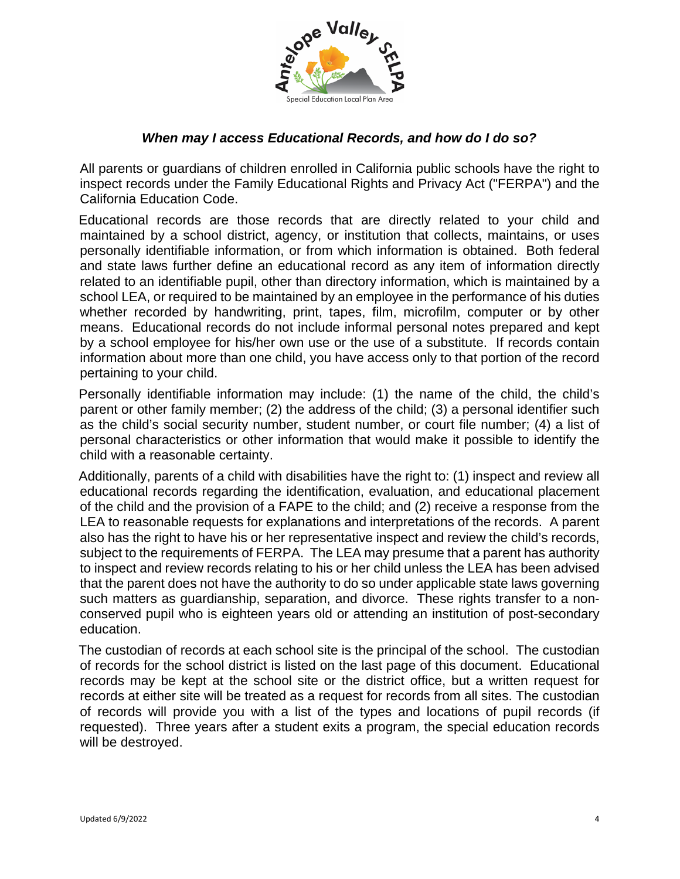

# *When may I access Educational Records, and how do I do so?*

All parents or guardians of children enrolled in California public schools have the right to inspect records under the Family Educational Rights and Privacy Act ("FERPA") and the California Education Code.

Educational records are those records that are directly related to your child and maintained by a school district, agency, or institution that collects, maintains, or uses personally identifiable information, or from which information is obtained. Both federal and state laws further define an educational record as any item of information directly related to an identifiable pupil, other than directory information, which is maintained by a school LEA, or required to be maintained by an employee in the performance of his duties whether recorded by handwriting, print, tapes, film, microfilm, computer or by other means. Educational records do not include informal personal notes prepared and kept by a school employee for his/her own use or the use of a substitute. If records contain information about more than one child, you have access only to that portion of the record pertaining to your child.

Personally identifiable information may include: (1) the name of the child, the child's parent or other family member; (2) the address of the child; (3) a personal identifier such as the child's social security number, student number, or court file number; (4) a list of personal characteristics or other information that would make it possible to identify the child with a reasonable certainty.

Additionally, parents of a child with disabilities have the right to: (1) inspect and review all educational records regarding the identification, evaluation, and educational placement of the child and the provision of a FAPE to the child; and (2) receive a response from the LEA to reasonable requests for explanations and interpretations of the records. A parent also has the right to have his or her representative inspect and review the child's records, subject to the requirements of FERPA. The LEA may presume that a parent has authority to inspect and review records relating to his or her child unless the LEA has been advised that the parent does not have the authority to do so under applicable state laws governing such matters as guardianship, separation, and divorce. These rights transfer to a nonconserved pupil who is eighteen years old or attending an institution of post-secondary education.

The custodian of records at each school site is the principal of the school. The custodian of records for the school district is listed on the last page of this document. Educational records may be kept at the school site or the district office, but a written request for records at either site will be treated as a request for records from all sites. The custodian of records will provide you with a list of the types and locations of pupil records (if requested). Three years after a student exits a program, the special education records will be destroyed.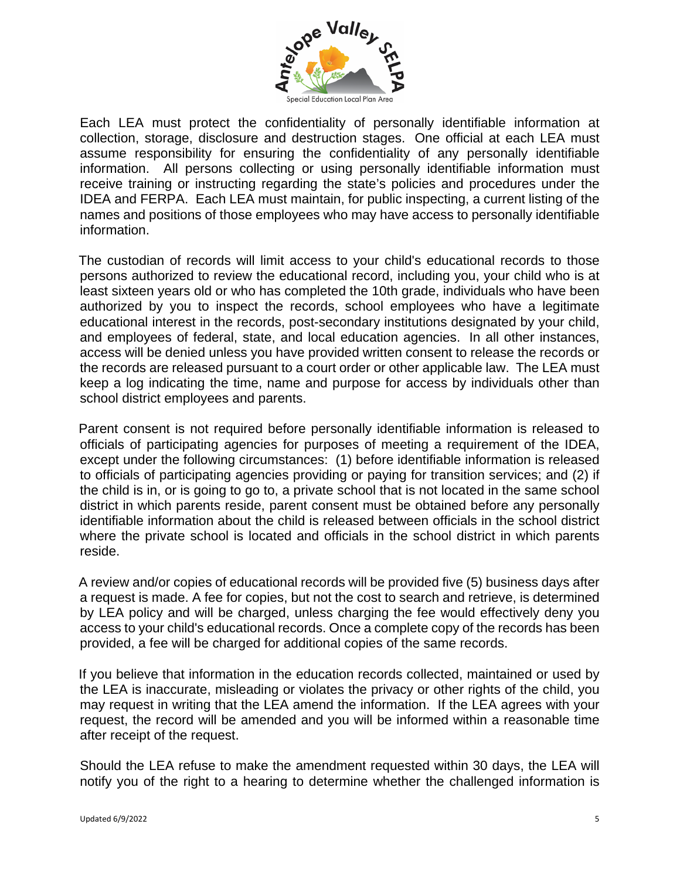

Each LEA must protect the confidentiality of personally identifiable information at collection, storage, disclosure and destruction stages. One official at each LEA must assume responsibility for ensuring the confidentiality of any personally identifiable information. All persons collecting or using personally identifiable information must receive training or instructing regarding the state's policies and procedures under the IDEA and FERPA. Each LEA must maintain, for public inspecting, a current listing of the names and positions of those employees who may have access to personally identifiable information.

The custodian of records will limit access to your child's educational records to those persons authorized to review the educational record, including you, your child who is at least sixteen years old or who has completed the 10th grade, individuals who have been authorized by you to inspect the records, school employees who have a legitimate educational interest in the records, post-secondary institutions designated by your child, and employees of federal, state, and local education agencies. In all other instances, access will be denied unless you have provided written consent to release the records or the records are released pursuant to a court order or other applicable law. The LEA must keep a log indicating the time, name and purpose for access by individuals other than school district employees and parents.

Parent consent is not required before personally identifiable information is released to officials of participating agencies for purposes of meeting a requirement of the IDEA, except under the following circumstances: (1) before identifiable information is released to officials of participating agencies providing or paying for transition services; and (2) if the child is in, or is going to go to, a private school that is not located in the same school district in which parents reside, parent consent must be obtained before any personally identifiable information about the child is released between officials in the school district where the private school is located and officials in the school district in which parents reside.

A review and/or copies of educational records will be provided five (5) business days after a request is made. A fee for copies, but not the cost to search and retrieve, is determined by LEA policy and will be charged, unless charging the fee would effectively deny you access to your child's educational records. Once a complete copy of the records has been provided, a fee will be charged for additional copies of the same records.

If you believe that information in the education records collected, maintained or used by the LEA is inaccurate, misleading or violates the privacy or other rights of the child, you may request in writing that the LEA amend the information. If the LEA agrees with your request, the record will be amended and you will be informed within a reasonable time after receipt of the request.

Should the LEA refuse to make the amendment requested within 30 days, the LEA will notify you of the right to a hearing to determine whether the challenged information is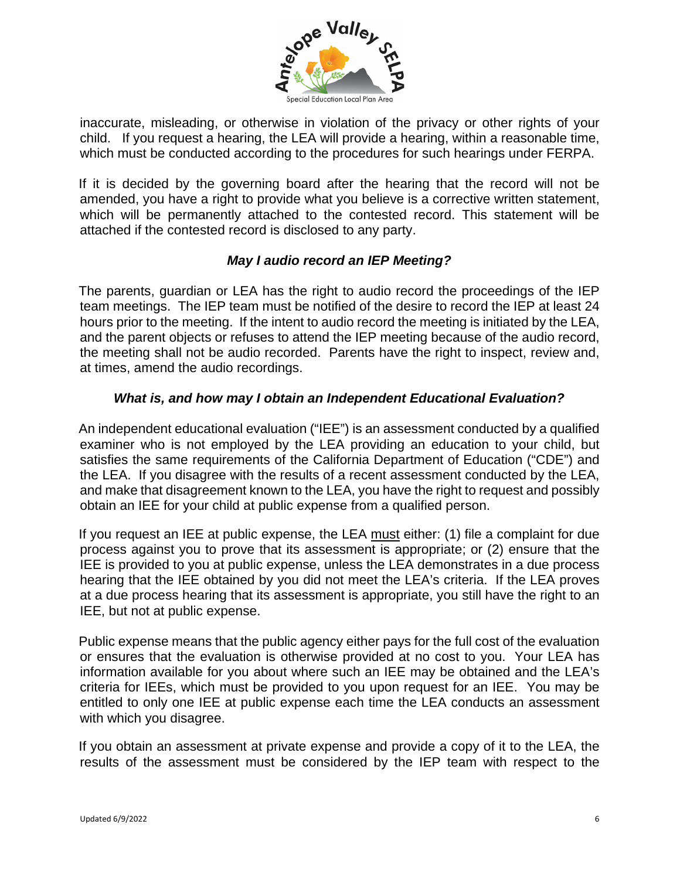

inaccurate, misleading, or otherwise in violation of the privacy or other rights of your child. If you request a hearing, the LEA will provide a hearing, within a reasonable time, which must be conducted according to the procedures for such hearings under FERPA.

If it is decided by the governing board after the hearing that the record will not be amended, you have a right to provide what you believe is a corrective written statement, which will be permanently attached to the contested record. This statement will be attached if the contested record is disclosed to any party.

# *May I audio record an IEP Meeting?*

The parents, guardian or LEA has the right to audio record the proceedings of the IEP team meetings. The IEP team must be notified of the desire to record the IEP at least 24 hours prior to the meeting. If the intent to audio record the meeting is initiated by the LEA, and the parent objects or refuses to attend the IEP meeting because of the audio record, the meeting shall not be audio recorded. Parents have the right to inspect, review and, at times, amend the audio recordings.

# *What is, and how may I obtain an Independent Educational Evaluation?*

An independent educational evaluation ("IEE") is an assessment conducted by a qualified examiner who is not employed by the LEA providing an education to your child, but satisfies the same requirements of the California Department of Education ("CDE") and the LEA. If you disagree with the results of a recent assessment conducted by the LEA, and make that disagreement known to the LEA, you have the right to request and possibly obtain an IEE for your child at public expense from a qualified person.

If you request an IEE at public expense, the LEA must either: (1) file a complaint for due process against you to prove that its assessment is appropriate; or (2) ensure that the IEE is provided to you at public expense, unless the LEA demonstrates in a due process hearing that the IEE obtained by you did not meet the LEA's criteria. If the LEA proves at a due process hearing that its assessment is appropriate, you still have the right to an IEE, but not at public expense.

Public expense means that the public agency either pays for the full cost of the evaluation or ensures that the evaluation is otherwise provided at no cost to you. Your LEA has information available for you about where such an IEE may be obtained and the LEA's criteria for IEEs, which must be provided to you upon request for an IEE. You may be entitled to only one IEE at public expense each time the LEA conducts an assessment with which you disagree.

If you obtain an assessment at private expense and provide a copy of it to the LEA, the results of the assessment must be considered by the IEP team with respect to the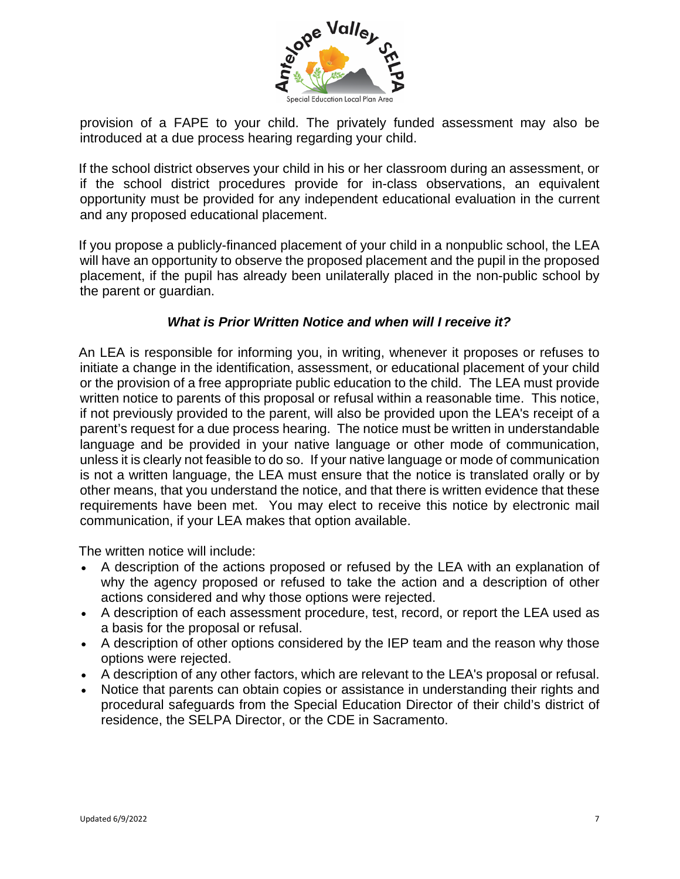

provision of a FAPE to your child. The privately funded assessment may also be introduced at a due process hearing regarding your child.

If the school district observes your child in his or her classroom during an assessment, or if the school district procedures provide for in-class observations, an equivalent opportunity must be provided for any independent educational evaluation in the current and any proposed educational placement.

If you propose a publicly-financed placement of your child in a nonpublic school, the LEA will have an opportunity to observe the proposed placement and the pupil in the proposed placement, if the pupil has already been unilaterally placed in the non-public school by the parent or guardian.

# *What is Prior Written Notice and when will I receive it?*

An LEA is responsible for informing you, in writing, whenever it proposes or refuses to initiate a change in the identification, assessment, or educational placement of your child or the provision of a free appropriate public education to the child. The LEA must provide written notice to parents of this proposal or refusal within a reasonable time. This notice, if not previously provided to the parent, will also be provided upon the LEA's receipt of a parent's request for a due process hearing. The notice must be written in understandable language and be provided in your native language or other mode of communication, unless it is clearly not feasible to do so. If your native language or mode of communication is not a written language, the LEA must ensure that the notice is translated orally or by other means, that you understand the notice, and that there is written evidence that these requirements have been met. You may elect to receive this notice by electronic mail communication, if your LEA makes that option available.

The written notice will include:

- A description of the actions proposed or refused by the LEA with an explanation of why the agency proposed or refused to take the action and a description of other actions considered and why those options were rejected.
- A description of each assessment procedure, test, record, or report the LEA used as a basis for the proposal or refusal.
- A description of other options considered by the IEP team and the reason why those options were rejected.
- A description of any other factors, which are relevant to the LEA's proposal or refusal.
- Notice that parents can obtain copies or assistance in understanding their rights and procedural safeguards from the Special Education Director of their child's district of residence, the SELPA Director, or the CDE in Sacramento.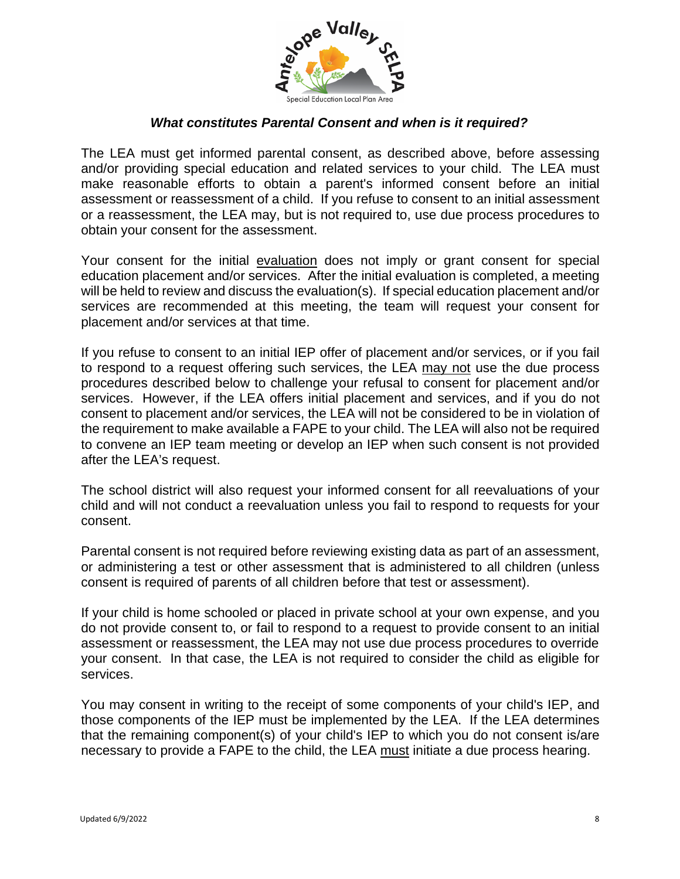

# *What constitutes Parental Consent and when is it required?*

The LEA must get informed parental consent, as described above, before assessing and/or providing special education and related services to your child. The LEA must make reasonable efforts to obtain a parent's informed consent before an initial assessment or reassessment of a child. If you refuse to consent to an initial assessment or a reassessment, the LEA may, but is not required to, use due process procedures to obtain your consent for the assessment.

Your consent for the initial evaluation does not imply or grant consent for special education placement and/or services. After the initial evaluation is completed, a meeting will be held to review and discuss the evaluation(s). If special education placement and/or services are recommended at this meeting, the team will request your consent for placement and/or services at that time.

If you refuse to consent to an initial IEP offer of placement and/or services, or if you fail to respond to a request offering such services, the LEA may not use the due process procedures described below to challenge your refusal to consent for placement and/or services. However, if the LEA offers initial placement and services, and if you do not consent to placement and/or services, the LEA will not be considered to be in violation of the requirement to make available a FAPE to your child. The LEA will also not be required to convene an IEP team meeting or develop an IEP when such consent is not provided after the LEA's request.

The school district will also request your informed consent for all reevaluations of your child and will not conduct a reevaluation unless you fail to respond to requests for your consent.

Parental consent is not required before reviewing existing data as part of an assessment, or administering a test or other assessment that is administered to all children (unless consent is required of parents of all children before that test or assessment).

If your child is home schooled or placed in private school at your own expense, and you do not provide consent to, or fail to respond to a request to provide consent to an initial assessment or reassessment, the LEA may not use due process procedures to override your consent. In that case, the LEA is not required to consider the child as eligible for services.

You may consent in writing to the receipt of some components of your child's IEP, and those components of the IEP must be implemented by the LEA. If the LEA determines that the remaining component(s) of your child's IEP to which you do not consent is/are necessary to provide a FAPE to the child, the LEA must initiate a due process hearing.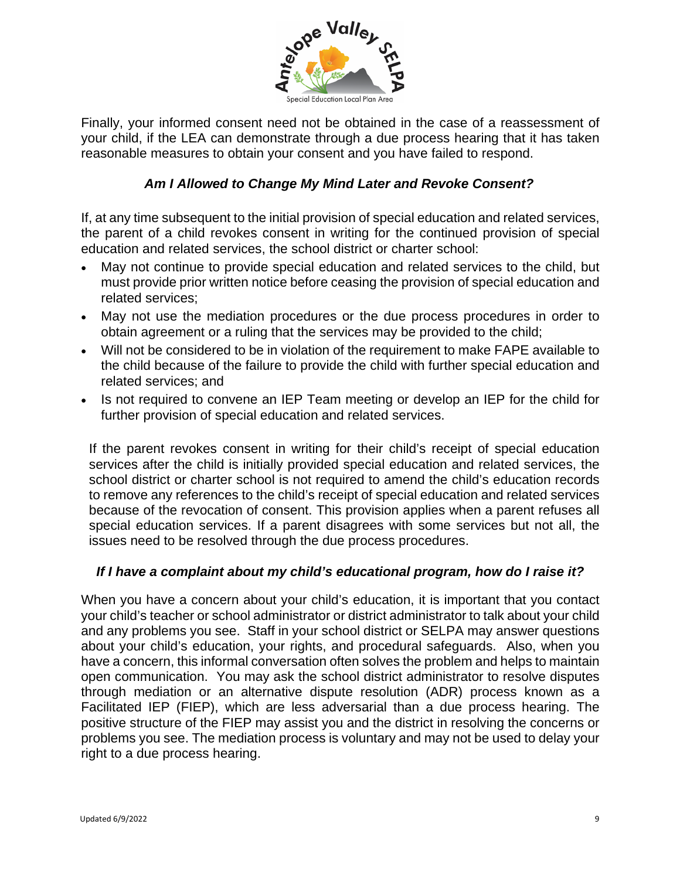

Finally, your informed consent need not be obtained in the case of a reassessment of your child, if the LEA can demonstrate through a due process hearing that it has taken reasonable measures to obtain your consent and you have failed to respond.

# *Am I Allowed to Change My Mind Later and Revoke Consent?*

If, at any time subsequent to the initial provision of special education and related services, the parent of a child revokes consent in writing for the continued provision of special education and related services, the school district or charter school:

- May not continue to provide special education and related services to the child, but must provide prior written notice before ceasing the provision of special education and related services;
- May not use the mediation procedures or the due process procedures in order to obtain agreement or a ruling that the services may be provided to the child;
- Will not be considered to be in violation of the requirement to make FAPE available to the child because of the failure to provide the child with further special education and related services; and
- Is not required to convene an IEP Team meeting or develop an IEP for the child for further provision of special education and related services.

If the parent revokes consent in writing for their child's receipt of special education services after the child is initially provided special education and related services, the school district or charter school is not required to amend the child's education records to remove any references to the child's receipt of special education and related services because of the revocation of consent. This provision applies when a parent refuses all special education services. If a parent disagrees with some services but not all, the issues need to be resolved through the due process procedures.

# *If I have a complaint about my child's educational program, how do I raise it?*

When you have a concern about your child's education, it is important that you contact your child's teacher or school administrator or district administrator to talk about your child and any problems you see. Staff in your school district or SELPA may answer questions about your child's education, your rights, and procedural safeguards. Also, when you have a concern, this informal conversation often solves the problem and helps to maintain open communication. You may ask the school district administrator to resolve disputes through mediation or an alternative dispute resolution (ADR) process known as a Facilitated IEP (FIEP), which are less adversarial than a due process hearing. The positive structure of the FIEP may assist you and the district in resolving the concerns or problems you see. The mediation process is voluntary and may not be used to delay your right to a due process hearing.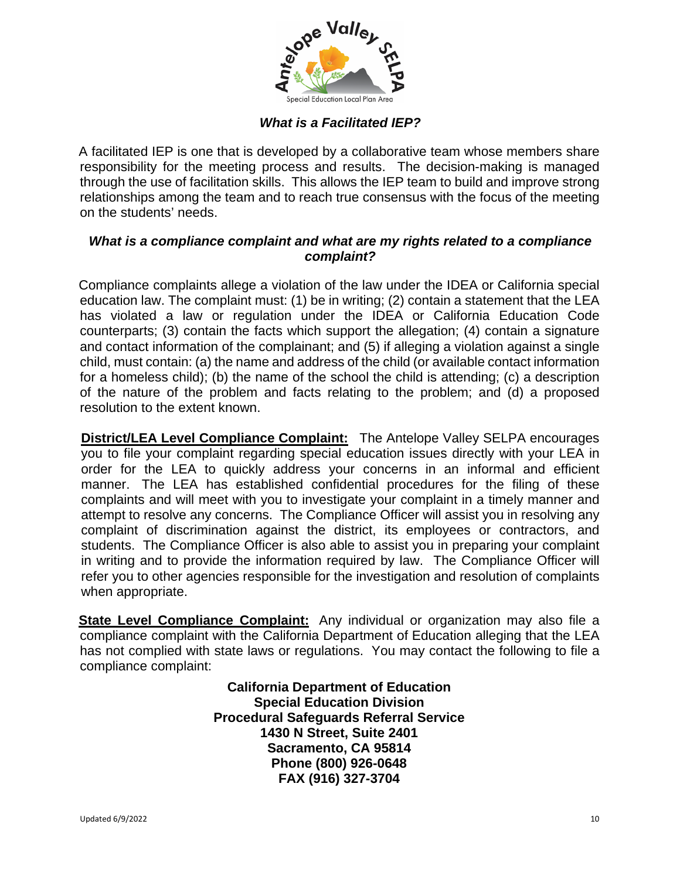

# *What is a Facilitated IEP?*

A facilitated IEP is one that is developed by a collaborative team whose members share responsibility for the meeting process and results. The decision-making is managed through the use of facilitation skills. This allows the IEP team to build and improve strong relationships among the team and to reach true consensus with the focus of the meeting on the students' needs.

# *What is a compliance complaint and what are my rights related to a compliance complaint?*

Compliance complaints allege a violation of the law under the IDEA or California special education law. The complaint must: (1) be in writing; (2) contain a statement that the LEA has violated a law or regulation under the IDEA or California Education Code counterparts; (3) contain the facts which support the allegation; (4) contain a signature and contact information of the complainant; and (5) if alleging a violation against a single child, must contain: (a) the name and address of the child (or available contact information for a homeless child); (b) the name of the school the child is attending; (c) a description of the nature of the problem and facts relating to the problem; and (d) a proposed resolution to the extent known.

**District/LEA Level Compliance Complaint:** The Antelope Valley SELPA encourages you to file your complaint regarding special education issues directly with your LEA in order for the LEA to quickly address your concerns in an informal and efficient manner. The LEA has established confidential procedures for the filing of these complaints and will meet with you to investigate your complaint in a timely manner and attempt to resolve any concerns. The Compliance Officer will assist you in resolving any complaint of discrimination against the district, its employees or contractors, and students. The Compliance Officer is also able to assist you in preparing your complaint in writing and to provide the information required by law. The Compliance Officer will refer you to other agencies responsible for the investigation and resolution of complaints when appropriate.

**State Level Compliance Complaint:** Any individual or organization may also file a compliance complaint with the California Department of Education alleging that the LEA has not complied with state laws or regulations. You may contact the following to file a compliance complaint:

> **California Department of Education Special Education Division Procedural Safeguards Referral Service 1430 N Street, Suite 2401 Sacramento, CA 95814 Phone (800) 926-0648 FAX (916) 327-3704**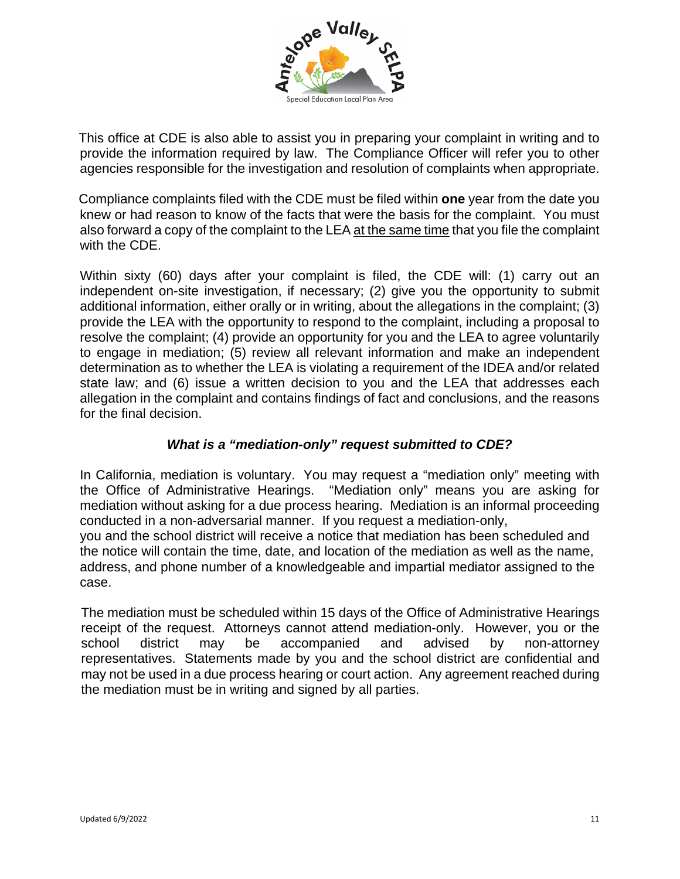

This office at CDE is also able to assist you in preparing your complaint in writing and to provide the information required by law. The Compliance Officer will refer you to other agencies responsible for the investigation and resolution of complaints when appropriate.

Compliance complaints filed with the CDE must be filed within **one** year from the date you knew or had reason to know of the facts that were the basis for the complaint. You must also forward a copy of the complaint to the LEA at the same time that you file the complaint with the CDE.

Within sixty (60) days after your complaint is filed, the CDE will: (1) carry out an independent on-site investigation, if necessary; (2) give you the opportunity to submit additional information, either orally or in writing, about the allegations in the complaint; (3) provide the LEA with the opportunity to respond to the complaint, including a proposal to resolve the complaint; (4) provide an opportunity for you and the LEA to agree voluntarily to engage in mediation; (5) review all relevant information and make an independent determination as to whether the LEA is violating a requirement of the IDEA and/or related state law; and (6) issue a written decision to you and the LEA that addresses each allegation in the complaint and contains findings of fact and conclusions, and the reasons for the final decision.

# *What is a "mediation-only" request submitted to CDE?*

In California, mediation is voluntary. You may request a "mediation only" meeting with the Office of Administrative Hearings. "Mediation only" means you are asking for mediation without asking for a due process hearing. Mediation is an informal proceeding conducted in a non-adversarial manner. If you request a mediation-only, you and the school district will receive a notice that mediation has been scheduled and

the notice will contain the time, date, and location of the mediation as well as the name, address, and phone number of a knowledgeable and impartial mediator assigned to the case.

The mediation must be scheduled within 15 days of the Office of Administrative Hearings receipt of the request. Attorneys cannot attend mediation-only. However, you or the school district may be accompanied and advised by non-attorney representatives. Statements made by you and the school district are confidential and may not be used in a due process hearing or court action. Any agreement reached during the mediation must be in writing and signed by all parties.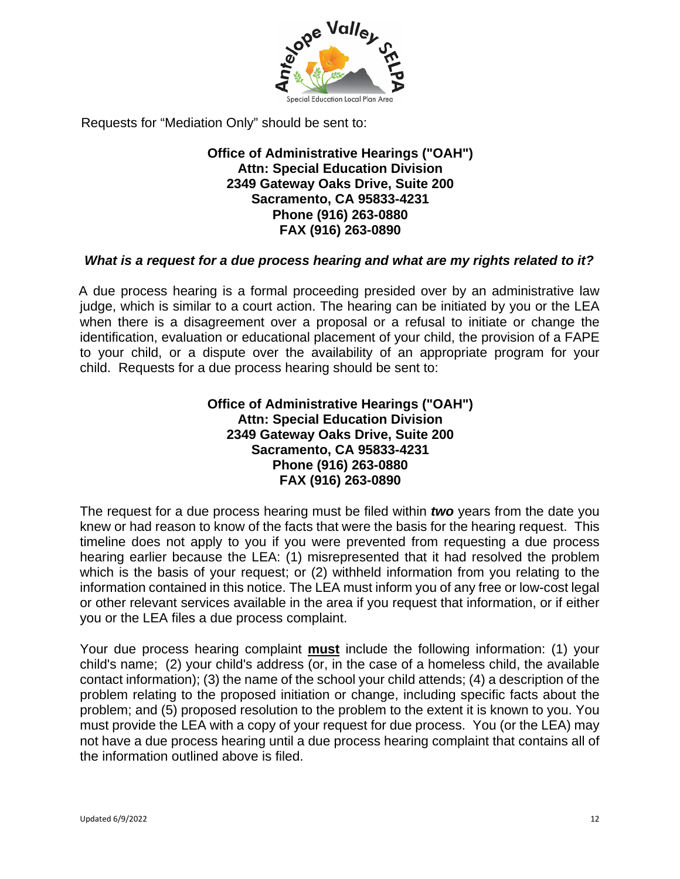

Requests for "Mediation Only" should be sent to:

# **Office of Administrative Hearings ("OAH") Attn: Special Education Division 2349 Gateway Oaks Drive, Suite 200 Sacramento, CA 95833-4231 Phone (916) 263-0880 FAX (916) 263-0890**

# *What is a request for a due process hearing and what are my rights related to it?*

A due process hearing is a formal proceeding presided over by an administrative law judge, which is similar to a court action. The hearing can be initiated by you or the LEA when there is a disagreement over a proposal or a refusal to initiate or change the identification, evaluation or educational placement of your child, the provision of a FAPE to your child, or a dispute over the availability of an appropriate program for your child. Requests for a due process hearing should be sent to:

#### **Office of Administrative Hearings ("OAH") Attn: Special Education Division 2349 Gateway Oaks Drive, Suite 200 Sacramento, CA 95833-4231 Phone (916) 263-0880 FAX (916) 263-0890**

The request for a due process hearing must be filed within *two* years from the date you knew or had reason to know of the facts that were the basis for the hearing request. This timeline does not apply to you if you were prevented from requesting a due process hearing earlier because the LEA: (1) misrepresented that it had resolved the problem which is the basis of your request; or (2) withheld information from you relating to the information contained in this notice. The LEA must inform you of any free or low-cost legal or other relevant services available in the area if you request that information, or if either you or the LEA files a due process complaint.

Your due process hearing complaint **must** include the following information: (1) your child's name; (2) your child's address (or, in the case of a homeless child, the available contact information); (3) the name of the school your child attends; (4) a description of the problem relating to the proposed initiation or change, including specific facts about the problem; and (5) proposed resolution to the problem to the extent it is known to you. You must provide the LEA with a copy of your request for due process. You (or the LEA) may not have a due process hearing until a due process hearing complaint that contains all of the information outlined above is filed.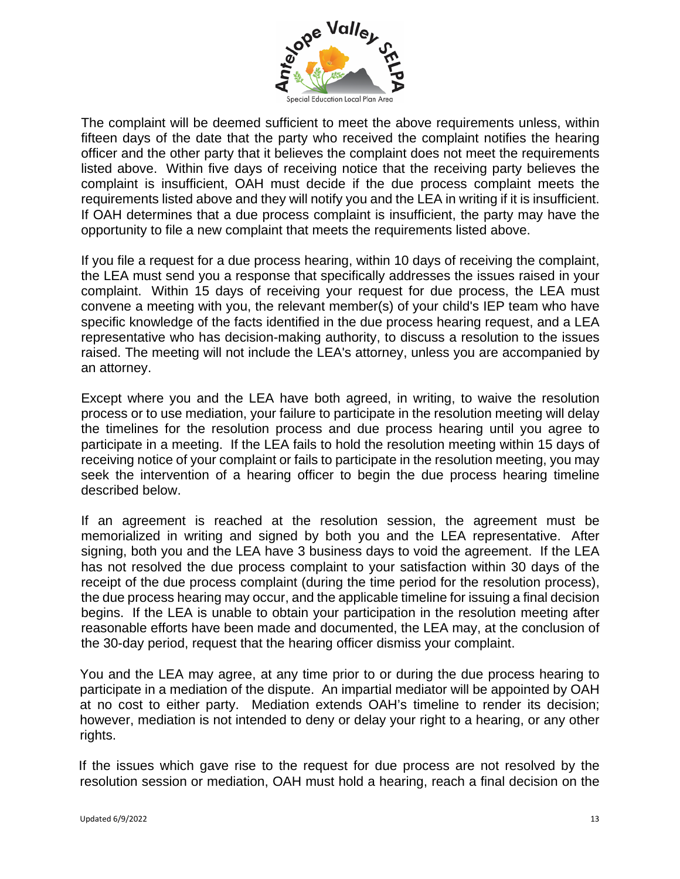

The complaint will be deemed sufficient to meet the above requirements unless, within fifteen days of the date that the party who received the complaint notifies the hearing officer and the other party that it believes the complaint does not meet the requirements listed above. Within five days of receiving notice that the receiving party believes the complaint is insufficient, OAH must decide if the due process complaint meets the requirements listed above and they will notify you and the LEA in writing if it is insufficient. If OAH determines that a due process complaint is insufficient, the party may have the opportunity to file a new complaint that meets the requirements listed above.

If you file a request for a due process hearing, within 10 days of receiving the complaint, the LEA must send you a response that specifically addresses the issues raised in your complaint. Within 15 days of receiving your request for due process, the LEA must convene a meeting with you, the relevant member(s) of your child's IEP team who have specific knowledge of the facts identified in the due process hearing request, and a LEA representative who has decision-making authority, to discuss a resolution to the issues raised. The meeting will not include the LEA's attorney, unless you are accompanied by an attorney.

Except where you and the LEA have both agreed, in writing, to waive the resolution process or to use mediation, your failure to participate in the resolution meeting will delay the timelines for the resolution process and due process hearing until you agree to participate in a meeting. If the LEA fails to hold the resolution meeting within 15 days of receiving notice of your complaint or fails to participate in the resolution meeting, you may seek the intervention of a hearing officer to begin the due process hearing timeline described below.

If an agreement is reached at the resolution session, the agreement must be memorialized in writing and signed by both you and the LEA representative. After signing, both you and the LEA have 3 business days to void the agreement. If the LEA has not resolved the due process complaint to your satisfaction within 30 days of the receipt of the due process complaint (during the time period for the resolution process), the due process hearing may occur, and the applicable timeline for issuing a final decision begins. If the LEA is unable to obtain your participation in the resolution meeting after reasonable efforts have been made and documented, the LEA may, at the conclusion of the 30-day period, request that the hearing officer dismiss your complaint.

You and the LEA may agree, at any time prior to or during the due process hearing to participate in a mediation of the dispute. An impartial mediator will be appointed by OAH at no cost to either party. Mediation extends OAH's timeline to render its decision; however, mediation is not intended to deny or delay your right to a hearing, or any other rights.

If the issues which gave rise to the request for due process are not resolved by the resolution session or mediation, OAH must hold a hearing, reach a final decision on the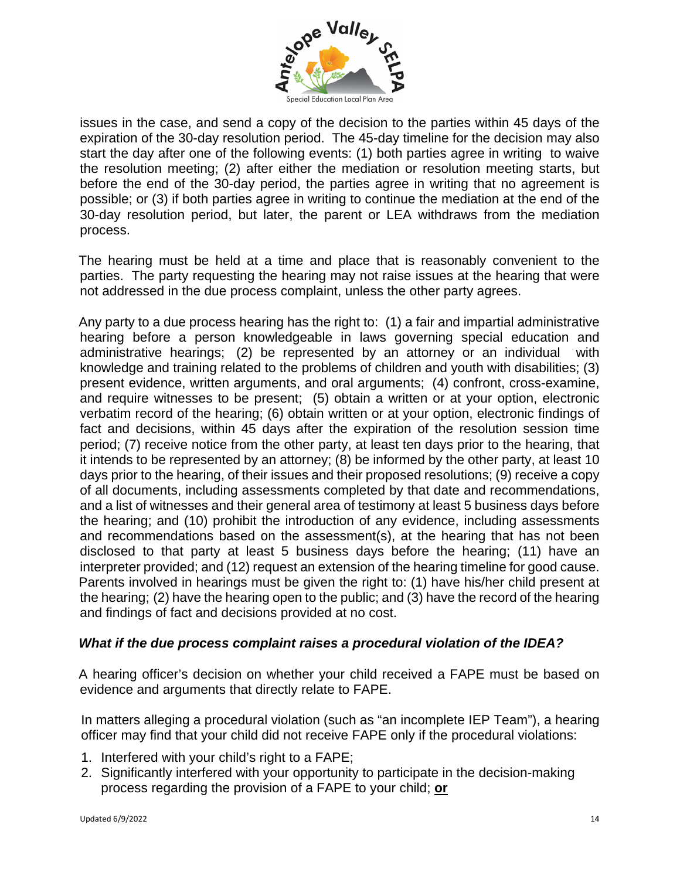

issues in the case, and send a copy of the decision to the parties within 45 days of the expiration of the 30-day resolution period. The 45-day timeline for the decision may also start the day after one of the following events: (1) both parties agree in writing to waive the resolution meeting; (2) after either the mediation or resolution meeting starts, but before the end of the 30-day period, the parties agree in writing that no agreement is possible; or (3) if both parties agree in writing to continue the mediation at the end of the 30-day resolution period, but later, the parent or LEA withdraws from the mediation process.

The hearing must be held at a time and place that is reasonably convenient to the parties. The party requesting the hearing may not raise issues at the hearing that were not addressed in the due process complaint, unless the other party agrees.

Any party to a due process hearing has the right to: (1) a fair and impartial administrative hearing before a person knowledgeable in laws governing special education and administrative hearings; (2) be represented by an attorney or an individual with knowledge and training related to the problems of children and youth with disabilities; (3) present evidence, written arguments, and oral arguments; (4) confront, cross-examine, and require witnesses to be present; (5) obtain a written or at your option, electronic verbatim record of the hearing; (6) obtain written or at your option, electronic findings of fact and decisions, within 45 days after the expiration of the resolution session time period; (7) receive notice from the other party, at least ten days prior to the hearing, that it intends to be represented by an attorney; (8) be informed by the other party, at least 10 days prior to the hearing, of their issues and their proposed resolutions; (9) receive a copy of all documents, including assessments completed by that date and recommendations, and a list of witnesses and their general area of testimony at least 5 business days before the hearing; and (10) prohibit the introduction of any evidence, including assessments and recommendations based on the assessment(s), at the hearing that has not been disclosed to that party at least 5 business days before the hearing; (11) have an interpreter provided; and (12) request an extension of the hearing timeline for good cause. Parents involved in hearings must be given the right to: (1) have his/her child present at the hearing; (2) have the hearing open to the public; and (3) have the record of the hearing and findings of fact and decisions provided at no cost.

# *What if the due process complaint raises a procedural violation of the IDEA?*

A hearing officer's decision on whether your child received a FAPE must be based on evidence and arguments that directly relate to FAPE.

In matters alleging a procedural violation (such as "an incomplete IEP Team"), a hearing officer may find that your child did not receive FAPE only if the procedural violations:

- 1. Interfered with your child's right to a FAPE;
- 2. Significantly interfered with your opportunity to participate in the decision-making process regarding the provision of a FAPE to your child; **or**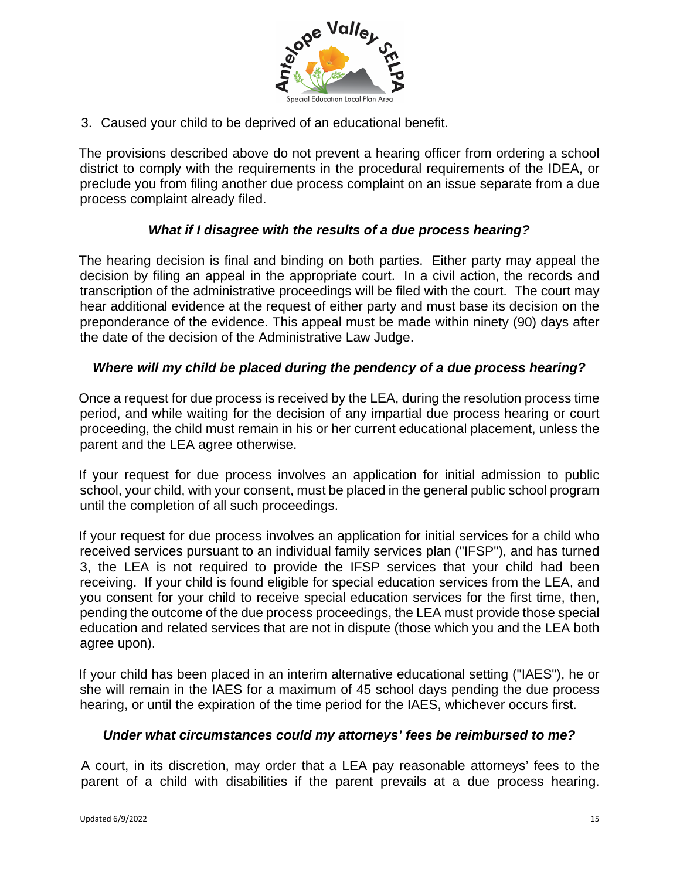

3. Caused your child to be deprived of an educational benefit.

The provisions described above do not prevent a hearing officer from ordering a school district to comply with the requirements in the procedural requirements of the IDEA, or preclude you from filing another due process complaint on an issue separate from a due process complaint already filed.

# *What if I disagree with the results of a due process hearing?*

The hearing decision is final and binding on both parties. Either party may appeal the decision by filing an appeal in the appropriate court. In a civil action, the records and transcription of the administrative proceedings will be filed with the court. The court may hear additional evidence at the request of either party and must base its decision on the preponderance of the evidence. This appeal must be made within ninety (90) days after the date of the decision of the Administrative Law Judge.

# *Where will my child be placed during the pendency of a due process hearing?*

Once a request for due process is received by the LEA, during the resolution process time period, and while waiting for the decision of any impartial due process hearing or court proceeding, the child must remain in his or her current educational placement, unless the parent and the LEA agree otherwise.

If your request for due process involves an application for initial admission to public school, your child, with your consent, must be placed in the general public school program until the completion of all such proceedings.

If your request for due process involves an application for initial services for a child who received services pursuant to an individual family services plan ("IFSP"), and has turned 3, the LEA is not required to provide the IFSP services that your child had been receiving. If your child is found eligible for special education services from the LEA, and you consent for your child to receive special education services for the first time, then, pending the outcome of the due process proceedings, the LEA must provide those special education and related services that are not in dispute (those which you and the LEA both agree upon).

If your child has been placed in an interim alternative educational setting ("IAES"), he or she will remain in the IAES for a maximum of 45 school days pending the due process hearing, or until the expiration of the time period for the IAES, whichever occurs first.

#### *Under what circumstances could my attorneys' fees be reimbursed to me?*

A court, in its discretion, may order that a LEA pay reasonable attorneys' fees to the parent of a child with disabilities if the parent prevails at a due process hearing.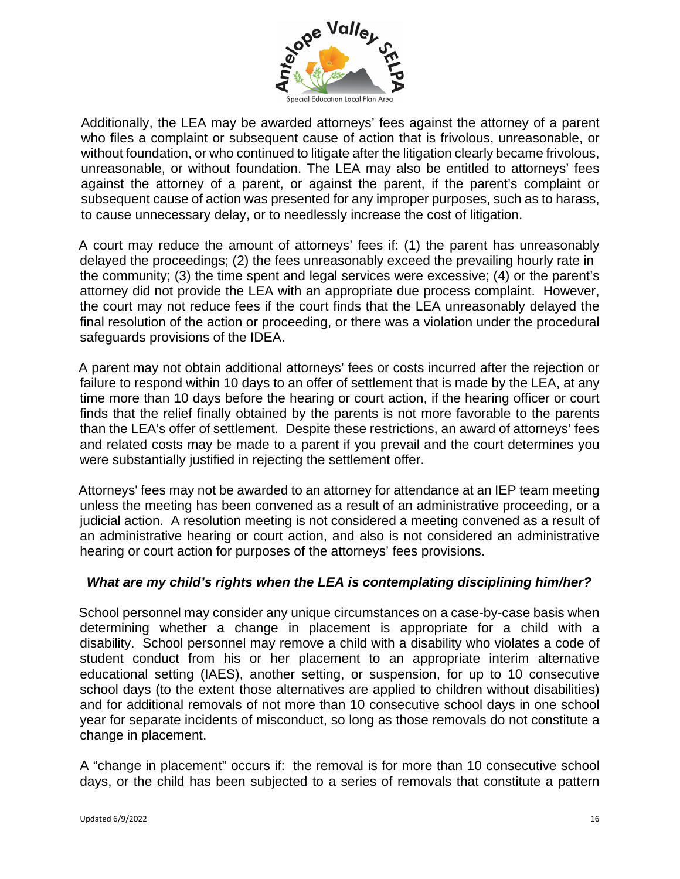

Additionally, the LEA may be awarded attorneys' fees against the attorney of a parent who files a complaint or subsequent cause of action that is frivolous, unreasonable, or without foundation, or who continued to litigate after the litigation clearly became frivolous, unreasonable, or without foundation. The LEA may also be entitled to attorneys' fees against the attorney of a parent, or against the parent, if the parent's complaint or subsequent cause of action was presented for any improper purposes, such as to harass, to cause unnecessary delay, or to needlessly increase the cost of litigation.

A court may reduce the amount of attorneys' fees if: (1) the parent has unreasonably delayed the proceedings; (2) the fees unreasonably exceed the prevailing hourly rate in the community; (3) the time spent and legal services were excessive; (4) or the parent's attorney did not provide the LEA with an appropriate due process complaint. However, the court may not reduce fees if the court finds that the LEA unreasonably delayed the final resolution of the action or proceeding, or there was a violation under the procedural safeguards provisions of the IDEA.

A parent may not obtain additional attorneys' fees or costs incurred after the rejection or failure to respond within 10 days to an offer of settlement that is made by the LEA, at any time more than 10 days before the hearing or court action, if the hearing officer or court finds that the relief finally obtained by the parents is not more favorable to the parents than the LEA's offer of settlement. Despite these restrictions, an award of attorneys' fees and related costs may be made to a parent if you prevail and the court determines you were substantially justified in rejecting the settlement offer.

Attorneys' fees may not be awarded to an attorney for attendance at an IEP team meeting unless the meeting has been convened as a result of an administrative proceeding, or a judicial action. A resolution meeting is not considered a meeting convened as a result of an administrative hearing or court action, and also is not considered an administrative hearing or court action for purposes of the attorneys' fees provisions.

# *What are my child's rights when the LEA is contemplating disciplining him/her?*

School personnel may consider any unique circumstances on a case-by-case basis when determining whether a change in placement is appropriate for a child with a disability. School personnel may remove a child with a disability who violates a code of student conduct from his or her placement to an appropriate interim alternative educational setting (IAES), another setting, or suspension, for up to 10 consecutive school days (to the extent those alternatives are applied to children without disabilities) and for additional removals of not more than 10 consecutive school days in one school year for separate incidents of misconduct, so long as those removals do not constitute a change in placement.

A "change in placement" occurs if: the removal is for more than 10 consecutive school days, or the child has been subjected to a series of removals that constitute a pattern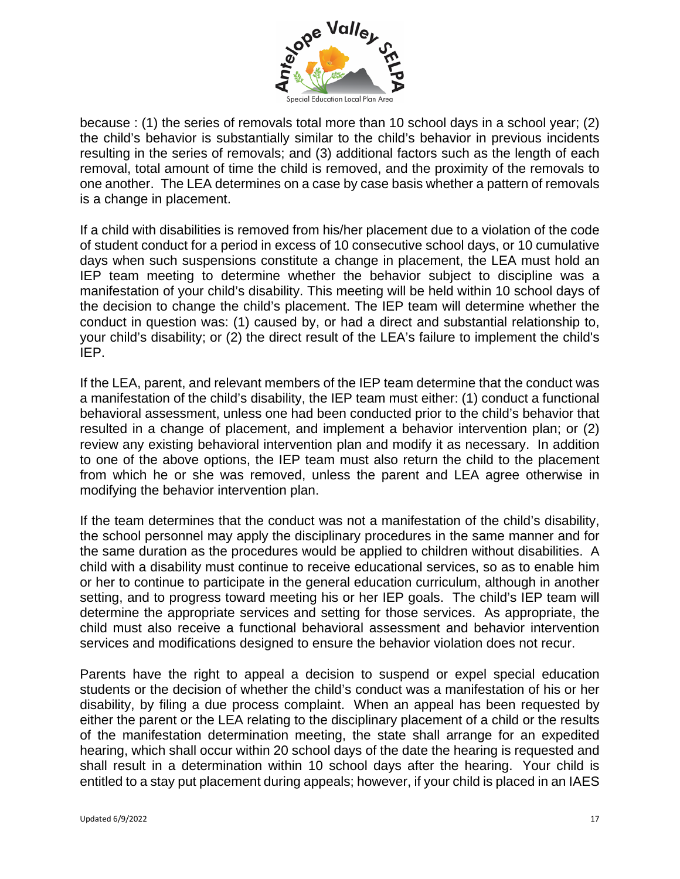

because : (1) the series of removals total more than 10 school days in a school year; (2) the child's behavior is substantially similar to the child's behavior in previous incidents resulting in the series of removals; and (3) additional factors such as the length of each removal, total amount of time the child is removed, and the proximity of the removals to one another. The LEA determines on a case by case basis whether a pattern of removals is a change in placement.

If a child with disabilities is removed from his/her placement due to a violation of the code of student conduct for a period in excess of 10 consecutive school days, or 10 cumulative days when such suspensions constitute a change in placement, the LEA must hold an IEP team meeting to determine whether the behavior subject to discipline was a manifestation of your child's disability. This meeting will be held within 10 school days of the decision to change the child's placement. The IEP team will determine whether the conduct in question was: (1) caused by, or had a direct and substantial relationship to, your child's disability; or (2) the direct result of the LEA's failure to implement the child's IEP.

If the LEA, parent, and relevant members of the IEP team determine that the conduct was a manifestation of the child's disability, the IEP team must either: (1) conduct a functional behavioral assessment, unless one had been conducted prior to the child's behavior that resulted in a change of placement, and implement a behavior intervention plan; or (2) review any existing behavioral intervention plan and modify it as necessary. In addition to one of the above options, the IEP team must also return the child to the placement from which he or she was removed, unless the parent and LEA agree otherwise in modifying the behavior intervention plan.

If the team determines that the conduct was not a manifestation of the child's disability, the school personnel may apply the disciplinary procedures in the same manner and for the same duration as the procedures would be applied to children without disabilities. A child with a disability must continue to receive educational services, so as to enable him or her to continue to participate in the general education curriculum, although in another setting, and to progress toward meeting his or her IEP goals. The child's IEP team will determine the appropriate services and setting for those services. As appropriate, the child must also receive a functional behavioral assessment and behavior intervention services and modifications designed to ensure the behavior violation does not recur.

Parents have the right to appeal a decision to suspend or expel special education students or the decision of whether the child's conduct was a manifestation of his or her disability, by filing a due process complaint. When an appeal has been requested by either the parent or the LEA relating to the disciplinary placement of a child or the results of the manifestation determination meeting, the state shall arrange for an expedited hearing, which shall occur within 20 school days of the date the hearing is requested and shall result in a determination within 10 school days after the hearing. Your child is entitled to a stay put placement during appeals; however, if your child is placed in an IAES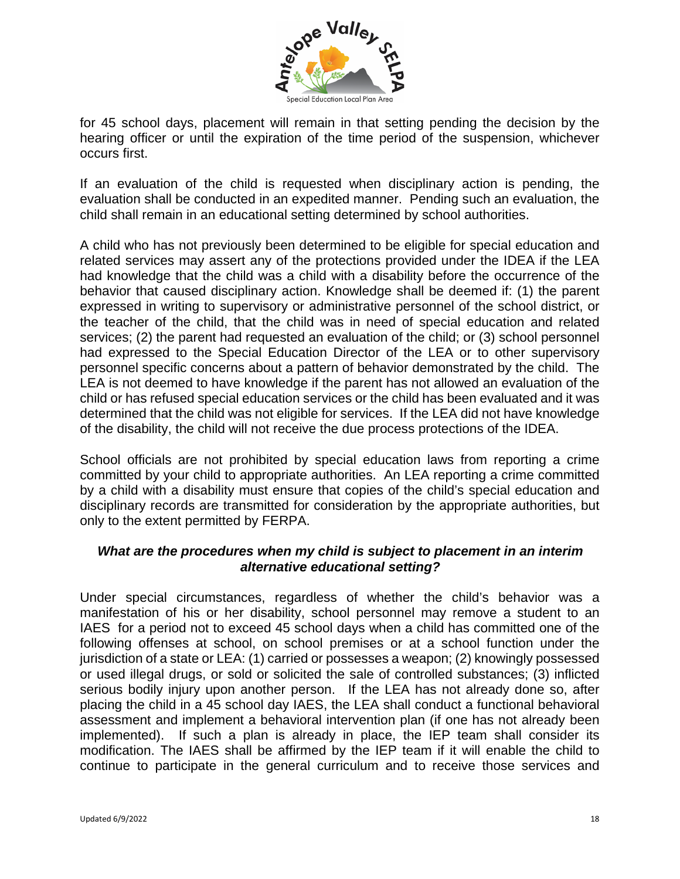

for 45 school days, placement will remain in that setting pending the decision by the hearing officer or until the expiration of the time period of the suspension, whichever occurs first.

If an evaluation of the child is requested when disciplinary action is pending, the evaluation shall be conducted in an expedited manner. Pending such an evaluation, the child shall remain in an educational setting determined by school authorities.

A child who has not previously been determined to be eligible for special education and related services may assert any of the protections provided under the IDEA if the LEA had knowledge that the child was a child with a disability before the occurrence of the behavior that caused disciplinary action. Knowledge shall be deemed if: (1) the parent expressed in writing to supervisory or administrative personnel of the school district, or the teacher of the child, that the child was in need of special education and related services; (2) the parent had requested an evaluation of the child; or (3) school personnel had expressed to the Special Education Director of the LEA or to other supervisory personnel specific concerns about a pattern of behavior demonstrated by the child. The LEA is not deemed to have knowledge if the parent has not allowed an evaluation of the child or has refused special education services or the child has been evaluated and it was determined that the child was not eligible for services. If the LEA did not have knowledge of the disability, the child will not receive the due process protections of the IDEA.

School officials are not prohibited by special education laws from reporting a crime committed by your child to appropriate authorities. An LEA reporting a crime committed by a child with a disability must ensure that copies of the child's special education and disciplinary records are transmitted for consideration by the appropriate authorities, but only to the extent permitted by FERPA.

# *What are the procedures when my child is subject to placement in an interim alternative educational setting?*

Under special circumstances, regardless of whether the child's behavior was a manifestation of his or her disability, school personnel may remove a student to an IAES for a period not to exceed 45 school days when a child has committed one of the following offenses at school, on school premises or at a school function under the jurisdiction of a state or LEA: (1) carried or possesses a weapon; (2) knowingly possessed or used illegal drugs, or sold or solicited the sale of controlled substances; (3) inflicted serious bodily injury upon another person. If the LEA has not already done so, after placing the child in a 45 school day IAES, the LEA shall conduct a functional behavioral assessment and implement a behavioral intervention plan (if one has not already been implemented). If such a plan is already in place, the IEP team shall consider its modification. The IAES shall be affirmed by the IEP team if it will enable the child to continue to participate in the general curriculum and to receive those services and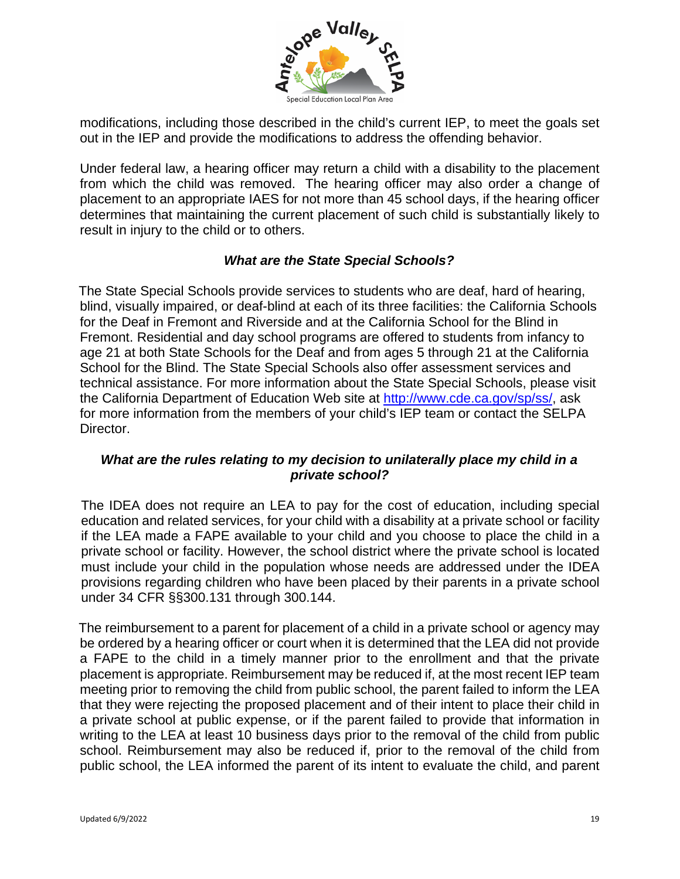

modifications, including those described in the child's current IEP, to meet the goals set out in the IEP and provide the modifications to address the offending behavior.

Under federal law, a hearing officer may return a child with a disability to the placement from which the child was removed. The hearing officer may also order a change of placement to an appropriate IAES for not more than 45 school days, if the hearing officer determines that maintaining the current placement of such child is substantially likely to result in injury to the child or to others.

# *What are the State Special Schools?*

The State Special Schools provide services to students who are deaf, hard of hearing, blind, visually impaired, or deaf-blind at each of its three facilities: the California Schools for the Deaf in Fremont and Riverside and at the California School for the Blind in Fremont. Residential and day school programs are offered to students from infancy to age 21 at both State Schools for the Deaf and from ages 5 through 21 at the California School for the Blind. The State Special Schools also offer assessment services and technical assistance. For more information about the State Special Schools, please visit the California Department of Education Web site at [http://www.cde.ca.gov/sp/ss/,](http://www.cde.ca.gov/sp/ss/) ask for more information from the members of your child's IEP team or contact the SELPA Director.

# *What are the rules relating to my decision to unilaterally place my child in a private school?*

The IDEA does not require an LEA to pay for the cost of education, including special education and related services, for your child with a disability at a private school or facility if the LEA made a FAPE available to your child and you choose to place the child in a private school or facility. However, the school district where the private school is located must include your child in the population whose needs are addressed under the IDEA provisions regarding children who have been placed by their parents in a private school under 34 CFR §§300.131 through 300.144.

The reimbursement to a parent for placement of a child in a private school or agency may be ordered by a hearing officer or court when it is determined that the LEA did not provide a FAPE to the child in a timely manner prior to the enrollment and that the private placement is appropriate. Reimbursement may be reduced if, at the most recent IEP team meeting prior to removing the child from public school, the parent failed to inform the LEA that they were rejecting the proposed placement and of their intent to place their child in a private school at public expense, or if the parent failed to provide that information in writing to the LEA at least 10 business days prior to the removal of the child from public school. Reimbursement may also be reduced if, prior to the removal of the child from public school, the LEA informed the parent of its intent to evaluate the child, and parent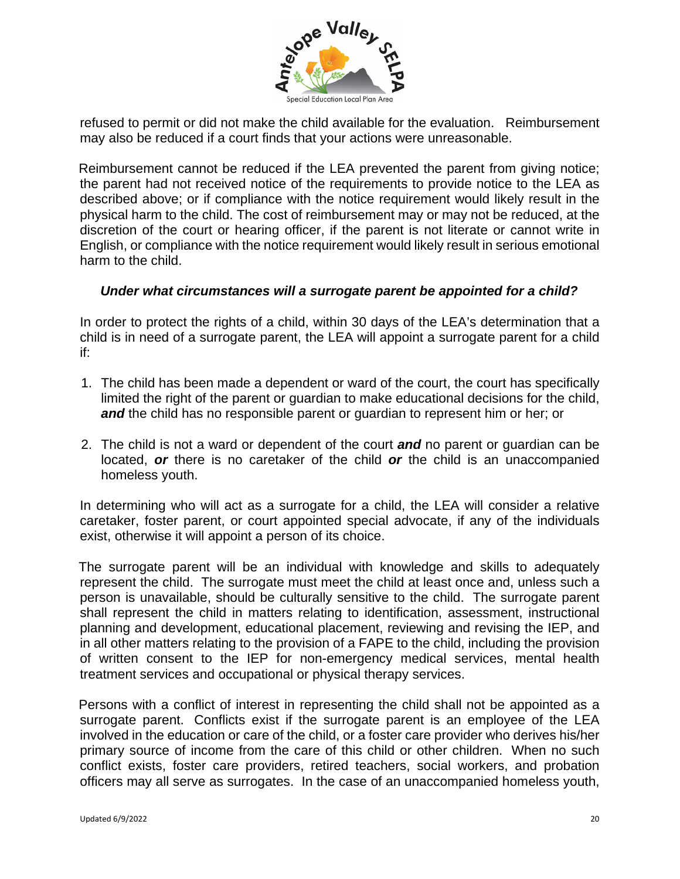

refused to permit or did not make the child available for the evaluation. Reimbursement may also be reduced if a court finds that your actions were unreasonable.

Reimbursement cannot be reduced if the LEA prevented the parent from giving notice; the parent had not received notice of the requirements to provide notice to the LEA as described above; or if compliance with the notice requirement would likely result in the physical harm to the child. The cost of reimbursement may or may not be reduced, at the discretion of the court or hearing officer, if the parent is not literate or cannot write in English, or compliance with the notice requirement would likely result in serious emotional harm to the child.

#### *Under what circumstances will a surrogate parent be appointed for a child?*

In order to protect the rights of a child, within 30 days of the LEA's determination that a child is in need of a surrogate parent, the LEA will appoint a surrogate parent for a child if:

- 1. The child has been made a dependent or ward of the court, the court has specifically limited the right of the parent or guardian to make educational decisions for the child, *and* the child has no responsible parent or guardian to represent him or her; or
- 2. The child is not a ward or dependent of the court *and* no parent or guardian can be located, *or* there is no caretaker of the child *or* the child is an unaccompanied homeless youth.

In determining who will act as a surrogate for a child, the LEA will consider a relative caretaker, foster parent, or court appointed special advocate, if any of the individuals exist, otherwise it will appoint a person of its choice.

The surrogate parent will be an individual with knowledge and skills to adequately represent the child. The surrogate must meet the child at least once and, unless such a person is unavailable, should be culturally sensitive to the child. The surrogate parent shall represent the child in matters relating to identification, assessment, instructional planning and development, educational placement, reviewing and revising the IEP, and in all other matters relating to the provision of a FAPE to the child, including the provision of written consent to the IEP for non-emergency medical services, mental health treatment services and occupational or physical therapy services.

Persons with a conflict of interest in representing the child shall not be appointed as a surrogate parent. Conflicts exist if the surrogate parent is an employee of the LEA involved in the education or care of the child, or a foster care provider who derives his/her primary source of income from the care of this child or other children. When no such conflict exists, foster care providers, retired teachers, social workers, and probation officers may all serve as surrogates. In the case of an unaccompanied homeless youth,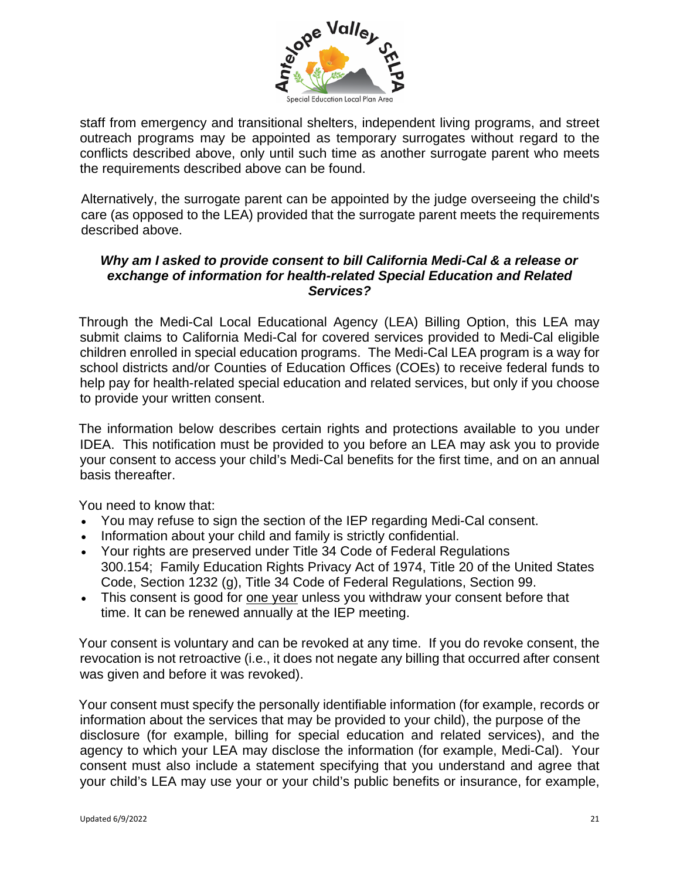

staff from emergency and transitional shelters, independent living programs, and street outreach programs may be appointed as temporary surrogates without regard to the conflicts described above, only until such time as another surrogate parent who meets the requirements described above can be found.

Alternatively, the surrogate parent can be appointed by the judge overseeing the child's care (as opposed to the LEA) provided that the surrogate parent meets the requirements described above.

#### *Why am I asked to provide consent to bill California Medi-Cal & a release or exchange of information for health-related Special Education and Related Services?*

Through the Medi-Cal Local Educational Agency (LEA) Billing Option, this LEA may submit claims to California Medi-Cal for covered services provided to Medi-Cal eligible children enrolled in special education programs. The Medi-Cal LEA program is a way for school districts and/or Counties of Education Offices (COEs) to receive federal funds to help pay for health-related special education and related services, but only if you choose to provide your written consent.

The information below describes certain rights and protections available to you under IDEA. This notification must be provided to you before an LEA may ask you to provide your consent to access your child's Medi-Cal benefits for the first time, and on an annual basis thereafter.

You need to know that:

- You may refuse to sign the section of the IEP regarding Medi-Cal consent.
- Information about your child and family is strictly confidential.
- Your rights are preserved under Title 34 Code of Federal Regulations 300.154; Family Education Rights Privacy Act of 1974, Title 20 of the United States Code, Section 1232 (g), Title 34 Code of Federal Regulations, Section 99.
- This consent is good for one year unless you withdraw your consent before that time. It can be renewed annually at the IEP meeting.

Your consent is voluntary and can be revoked at any time. If you do revoke consent, the revocation is not retroactive (i.e., it does not negate any billing that occurred after consent was given and before it was revoked).

Your consent must specify the personally identifiable information (for example, records or information about the services that may be provided to your child), the purpose of the disclosure (for example, billing for special education and related services), and the agency to which your LEA may disclose the information (for example, Medi-Cal). Your consent must also include a statement specifying that you understand and agree that your child's LEA may use your or your child's public benefits or insurance, for example,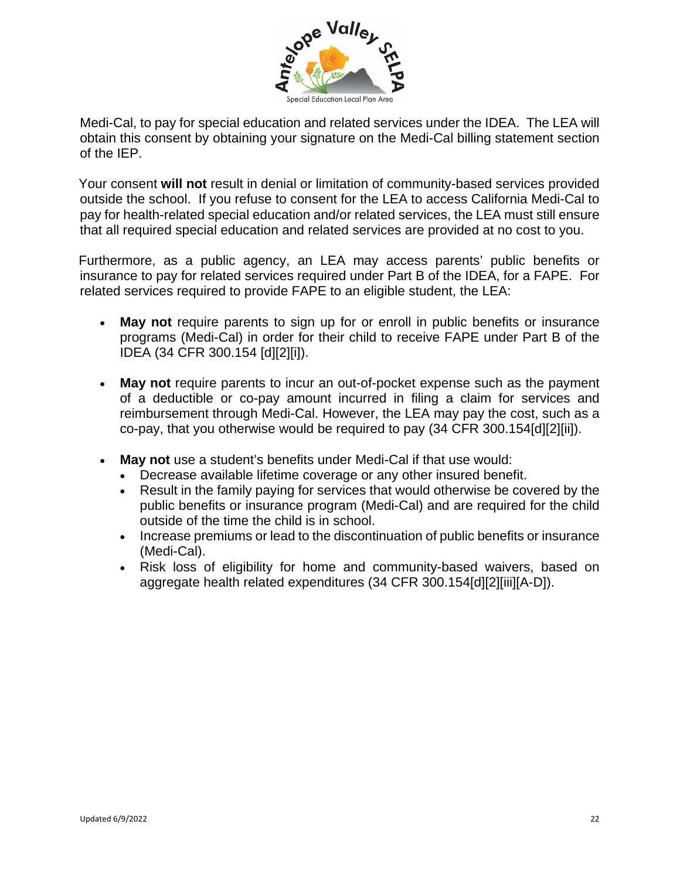

Medi-Cal, to pay for special education and related services under the IDEA. The LEA will obtain this consent by obtaining your signature on the Medi-Cal billing statement section of the IEP.

Your consent **will not** result in denial or limitation of community-based services provided outside the school. If you refuse to consent for the LEA to access California Medi-Cal to pay for health-related special education and/or related services, the LEA must still ensure that all required special education and related services are provided at no cost to you.

Furthermore, as a public agency, an LEA may access parents' public benefits or insurance to pay for related services required under Part B of the IDEA, for a FAPE. For related services required to provide FAPE to an eligible student, the LEA:

- **May not** require parents to sign up for or enroll in public benefits or insurance programs (Medi-Cal) in order for their child to receive FAPE under Part B of the IDEA (34 CFR 300.154 [d][2][i]).
- **May not** require parents to incur an out-of-pocket expense such as the payment of a deductible or co-pay amount incurred in filing a claim for services and reimbursement through Medi-Cal. However, the LEA may pay the cost, such as a co-pay, that you otherwise would be required to pay (34 CFR 300.154[d][2][ii]).
- **May not** use a student's benefits under Medi-Cal if that use would:
	- Decrease available lifetime coverage or any other insured benefit.
	- Result in the family paying for services that would otherwise be covered by the public benefits or insurance program (Medi-Cal) and are required for the child outside of the time the child is in school.
	- Increase premiums or lead to the discontinuation of public benefits or insurance (Medi-Cal).
	- Risk loss of eligibility for home and community-based waivers, based on aggregate health related expenditures (34 CFR 300.154[d][2][iii][A-D]).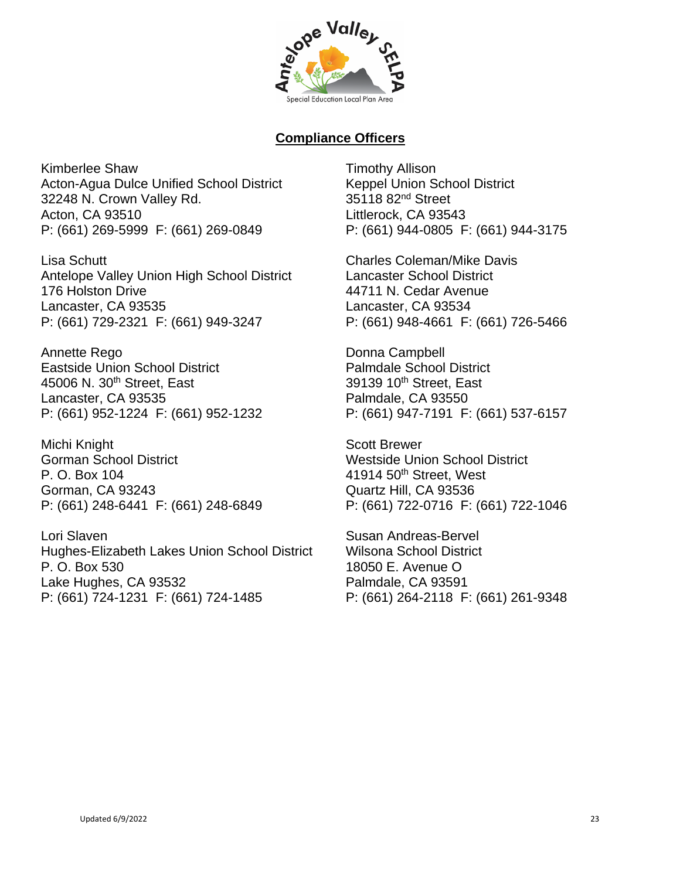

# **Compliance Officers**

Kimberlee Shaw Acton-Agua Dulce Unified School District 32248 N. Crown Valley Rd. Acton, CA 93510 P: (661) 269-5999 F: (661) 269-0849

Lisa Schutt Antelope Valley Union High School District 176 Holston Drive Lancaster, CA 93535 P: (661) 729-2321 F: (661) 949-3247

Annette Rego Eastside Union School District 45006 N. 30<sup>th</sup> Street, East Lancaster, CA 93535 P: (661) 952-1224 F: (661) 952-1232

Michi Knight Gorman School District P. O. Box 104 Gorman, CA 93243 P: (661) 248-6441 F: (661) 248-6849

Lori Slaven Hughes-Elizabeth Lakes Union School District P. O. Box 530 Lake Hughes, CA 93532 P: (661) 724-1231 F: (661) 724-1485

Timothy Allison Keppel Union School District 35118 82nd Street Littlerock, CA 93543 P: (661) 944-0805 F: (661) 944-3175

Charles Coleman/Mike Davis Lancaster School District 44711 N. Cedar Avenue Lancaster, CA 93534 P: (661) 948-4661 F: (661) 726-5466

Donna Campbell Palmdale School District 39139 10<sup>th</sup> Street, East Palmdale, CA 93550 P: (661) 947-7191 F: (661) 537-6157

Scott Brewer Westside Union School District  $41914$  50<sup>th</sup> Street, West Quartz Hill, CA 93536 P: (661) 722-0716 F: (661) 722-1046

Susan Andreas-Bervel Wilsona School District 18050 E. Avenue O Palmdale, CA 93591 P: (661) 264-2118 F: (661) 261-9348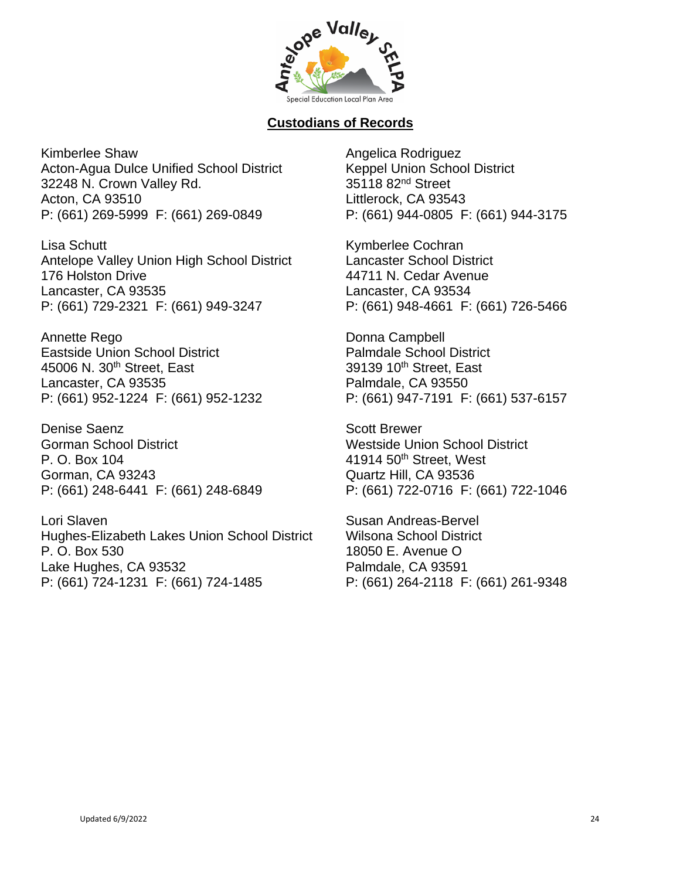

# **Custodians of Records**

Kimberlee Shaw Acton-Agua Dulce Unified School District 32248 N. Crown Valley Rd. Acton, CA 93510 P: (661) 269-5999 F: (661) 269-0849

Lisa Schutt Antelope Valley Union High School District 176 Holston Drive Lancaster, CA 93535 P: (661) 729-2321 F: (661) 949-3247

Annette Rego Eastside Union School District 45006 N. 30<sup>th</sup> Street, East Lancaster, CA 93535 P: (661) 952-1224 F: (661) 952-1232

Denise Saenz Gorman School District P. O. Box 104 Gorman, CA 93243 P: (661) 248-6441 F: (661) 248-6849

Lori Slaven Hughes-Elizabeth Lakes Union School District P. O. Box 530 Lake Hughes, CA 93532 P: (661) 724-1231 F: (661) 724-1485

Angelica Rodriguez Keppel Union School District 35118 82<sup>nd</sup> Street Littlerock, CA 93543 P: (661) 944-0805 F: (661) 944-3175

Kymberlee Cochran Lancaster School District 44711 N. Cedar Avenue Lancaster, CA 93534 P: (661) 948-4661 F: (661) 726-5466

Donna Campbell Palmdale School District 39139 10<sup>th</sup> Street, East Palmdale, CA 93550 P: (661) 947-7191 F: (661) 537-6157

Scott Brewer Westside Union School District 41914 50th Street, West Quartz Hill, CA 93536 P: (661) 722-0716 F: (661) 722-1046

Susan Andreas-Bervel Wilsona School District 18050 E. Avenue O Palmdale, CA 93591 P: (661) 264-2118 F: (661) 261-9348